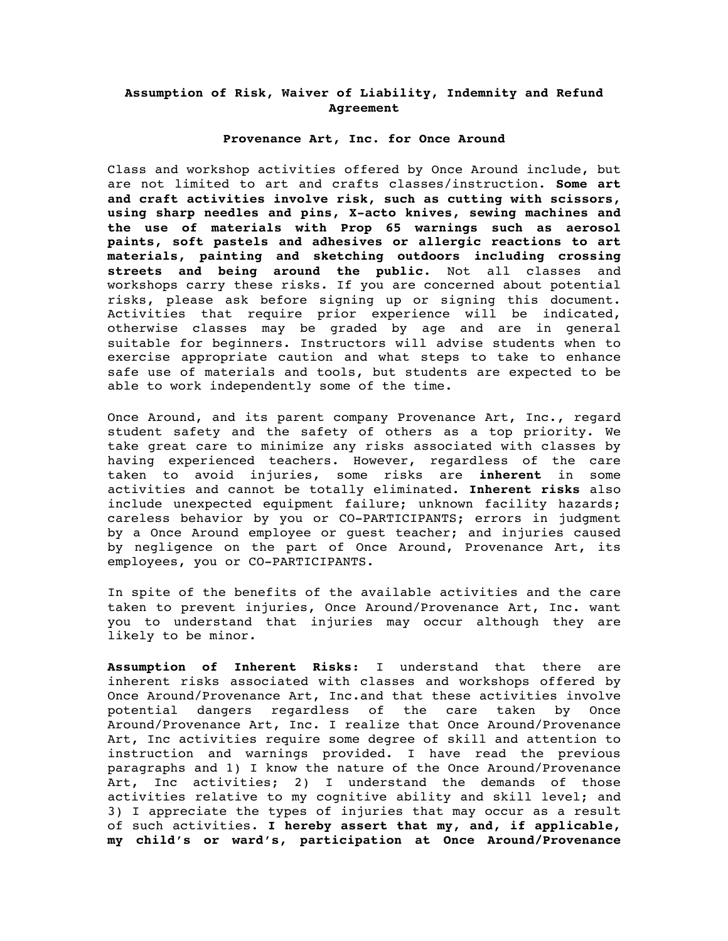## **Assumption of Risk, Waiver of Liability, Indemnity and Refund Agreement**

### **Provenance Art, Inc. for Once Around**

Class and workshop activities offered by Once Around include, but are not limited to art and crafts classes/instruction. **Some art and craft activities involve risk, such as cutting with scissors, using sharp needles and pins, X-acto knives, sewing machines and the use of materials with Prop 65 warnings such as aerosol paints, soft pastels and adhesives or allergic reactions to art materials, painting and sketching outdoors including crossing streets and being around the public.** Not all classes and workshops carry these risks. If you are concerned about potential risks, please ask before signing up or signing this document. Activities that require prior experience will be indicated, otherwise classes may be graded by age and are in general suitable for beginners. Instructors will advise students when to exercise appropriate caution and what steps to take to enhance safe use of materials and tools, but students are expected to be able to work independently some of the time.

Once Around, and its parent company Provenance Art, Inc., regard student safety and the safety of others as a top priority. We take great care to minimize any risks associated with classes by having experienced teachers. However, regardless of the care taken to avoid injuries, some risks are **inherent** in some activities and cannot be totally eliminated. **Inherent risks** also include unexpected equipment failure; unknown facility hazards; careless behavior by you or CO-PARTICIPANTS; errors in judgment by a Once Around employee or guest teacher; and injuries caused by negligence on the part of Once Around, Provenance Art, its employees, you or CO-PARTICIPANTS.

In spite of the benefits of the available activities and the care taken to prevent injuries, Once Around/Provenance Art, Inc. want you to understand that injuries may occur although they are likely to be minor.

**Assumption of Inherent Risks**: I understand that there are inherent risks associated with classes and workshops offered by Once Around/Provenance Art, Inc.and that these activities involve potential dangers regardless of the care taken by Once Around/Provenance Art, Inc. I realize that Once Around/Provenance Art, Inc activities require some degree of skill and attention to instruction and warnings provided. I have read the previous paragraphs and 1) I know the nature of the Once Around/Provenance Art, Inc activities; 2) I understand the demands of those activities relative to my cognitive ability and skill level; and 3) I appreciate the types of injuries that may occur as a result of such activities. **I hereby assert that my, and, if applicable, my child's or ward's, participation at Once Around/Provenance**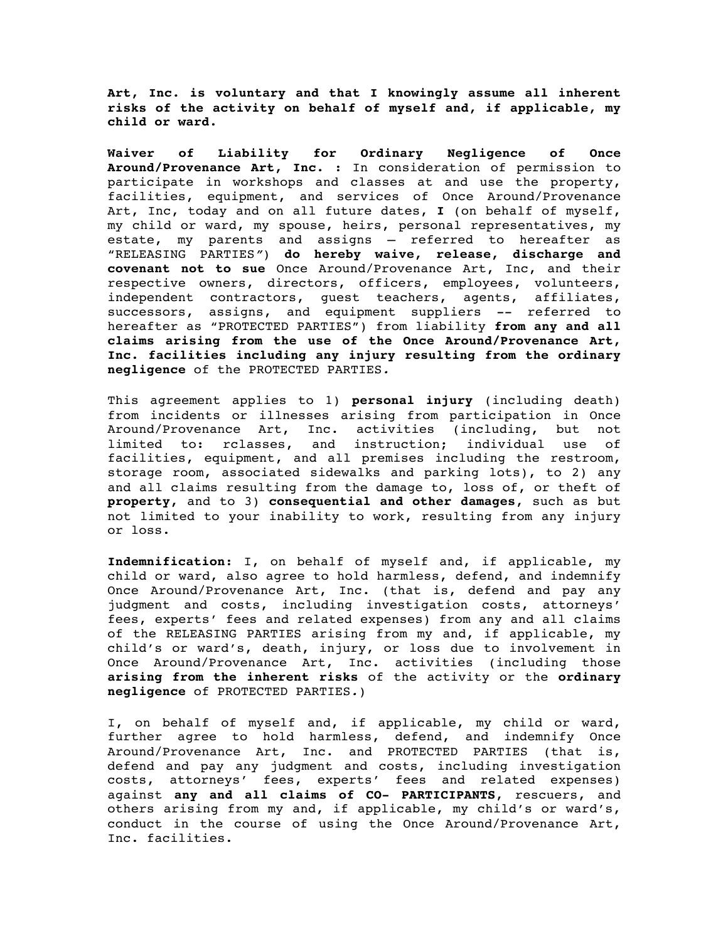**Art, Inc. is voluntary and that I knowingly assume all inherent risks of the activity on behalf of myself and, if applicable, my child or ward.** 

**Waiver of Liability for Ordinary Negligence of Once Around/Provenance Art, Inc.** : In consideration of permission to participate in workshops and classes at and use the property, facilities, equipment, and services of Once Around/Provenance Art, Inc, today and on all future dates, **I** (on behalf of myself, my child or ward, my spouse, heirs, personal representatives, my estate, my parents and assigns – referred to hereafter as "RELEASING PARTIES*"*) **do hereby waive, release, discharge and covenant not to sue** Once Around/Provenance Art, Inc, and their respective owners, directors, officers, employees, volunteers, independent contractors, guest teachers, agents, affiliates, successors, assigns, and equipment suppliers -- referred to hereafter as "PROTECTED PARTIES") from liability **from any and all claims arising from the use of the Once Around/Provenance Art, Inc. facilities including any injury resulting from the ordinary negligence** of the PROTECTED PARTIES*.* 

This agreement applies to 1) **personal injury** (including death) from incidents or illnesses arising from participation in Once Around/Provenance Art, Inc. activities (including, but not limited to: rclasses, and instruction; individual use of facilities, equipment, and all premises including the restroom, storage room, associated sidewalks and parking lots), to 2) any and all claims resulting from the damage to, loss of, or theft of **property,** and to 3) **consequential and other damages**, such as but not limited to your inability to work, resulting from any injury or loss.

**Indemnification**: I, on behalf of myself and, if applicable, my child or ward, also agree to hold harmless, defend, and indemnify Once Around/Provenance Art, Inc. (that is, defend and pay any judgment and costs, including investigation costs, attorneys' fees, experts' fees and related expenses) from any and all claims of the RELEASING PARTIES arising from my and, if applicable, my child's or ward's, death, injury, or loss due to involvement in Once Around/Provenance Art, Inc. activities (including those **arising from the inherent risks** of the activity or the **ordinary negligence** of PROTECTED PARTIES*.*)

I, on behalf of myself and, if applicable, my child or ward, further agree to hold harmless, defend, and indemnify Once Around/Provenance Art, Inc. and PROTECTED PARTIES (that is, defend and pay any judgment and costs, including investigation costs, attorneys' fees, experts' fees and related expenses) against **any and all claims of CO- PARTICIPANTS**, rescuers, and others arising from my and, if applicable, my child's or ward's, conduct in the course of using the Once Around/Provenance Art, Inc. facilities.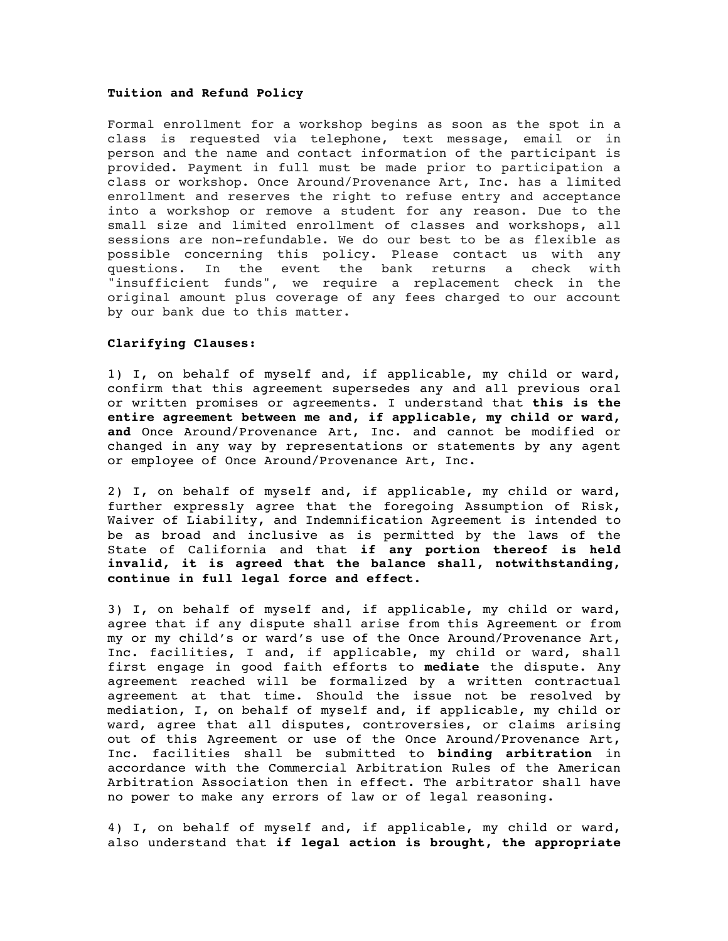#### **Tuition and Refund Policy**

Formal enrollment for a workshop begins as soon as the spot in a class is requested via telephone, text message, email or in person and the name and contact information of the participant is provided. Payment in full must be made prior to participation a class or workshop. Once Around/Provenance Art, Inc. has a limited enrollment and reserves the right to refuse entry and acceptance into a workshop or remove a student for any reason. Due to the small size and limited enrollment of classes and workshops, all sessions are non-refundable. We do our best to be as flexible as possible concerning this policy. Please contact us with any questions. In the event the bank returns a check with "insufficient funds", we require a replacement check in the original amount plus coverage of any fees charged to our account by our bank due to this matter.

## **Clarifying Clauses:**

1) I, on behalf of myself and, if applicable, my child or ward, confirm that this agreement supersedes any and all previous oral or written promises or agreements. I understand that **this is the entire agreement between me and, if applicable, my child or ward, and** Once Around/Provenance Art, Inc. and cannot be modified or changed in any way by representations or statements by any agent or employee of Once Around/Provenance Art, Inc.

2) I, on behalf of myself and, if applicable, my child or ward, further expressly agree that the foregoing Assumption of Risk, Waiver of Liability, and Indemnification Agreement is intended to be as broad and inclusive as is permitted by the laws of the State of California and that **if any portion thereof is held invalid, it is agreed that the balance shall, notwithstanding, continue in full legal force and effect**.

3) I, on behalf of myself and, if applicable, my child or ward, agree that if any dispute shall arise from this Agreement or from my or my child's or ward's use of the Once Around/Provenance Art, Inc. facilities, I and, if applicable, my child or ward, shall first engage in good faith efforts to **mediate** the dispute. Any agreement reached will be formalized by a written contractual agreement at that time. Should the issue not be resolved by mediation, I, on behalf of myself and, if applicable, my child or ward, agree that all disputes, controversies, or claims arising out of this Agreement or use of the Once Around/Provenance Art, Inc. facilities shall be submitted to **binding arbitration** in accordance with the Commercial Arbitration Rules of the American Arbitration Association then in effect. The arbitrator shall have no power to make any errors of law or of legal reasoning.

4) I, on behalf of myself and, if applicable, my child or ward, also understand that **if legal action is brought, the appropriate**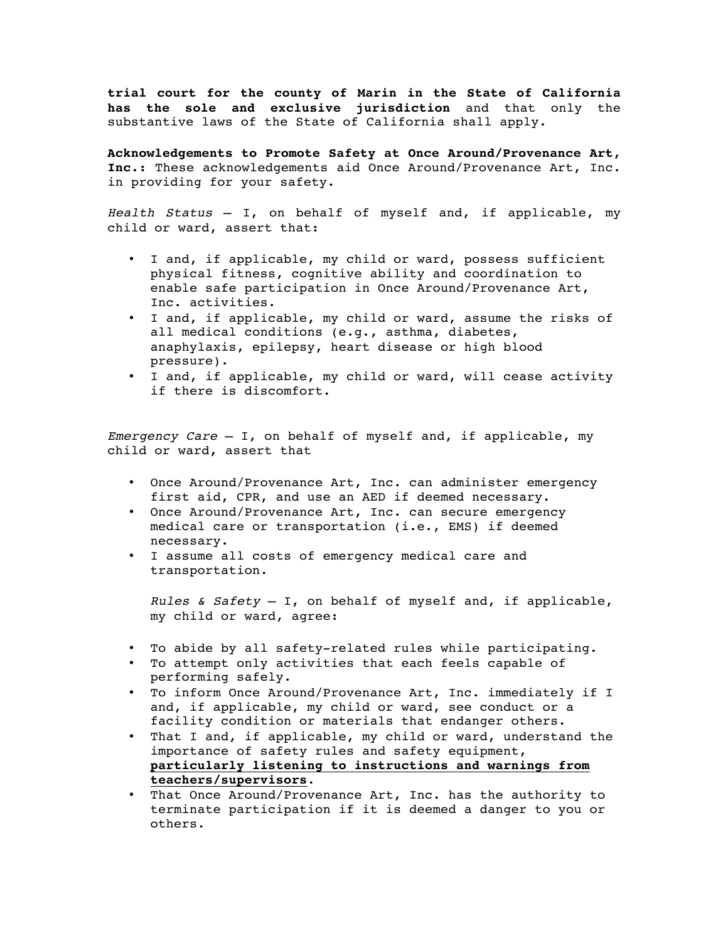**trial court for the county of Marin in the State of California has the sole and exclusive jurisdiction** and that only the substantive laws of the State of California shall apply.

**Acknowledgements to Promote Safety at Once Around/Provenance Art, Inc.:** These acknowledgements aid Once Around/Provenance Art, Inc. in providing for your safety.

*Health Status* – I, on behalf of myself and, if applicable, my child or ward, assert that:

- I and, if applicable, my child or ward, possess sufficient physical fitness, cognitive ability and coordination to enable safe participation in Once Around/Provenance Art, Inc. activities.
- I and, if applicable, my child or ward, assume the risks of all medical conditions (e.g., asthma, diabetes, anaphylaxis, epilepsy, heart disease or high blood pressure).
- I and, if applicable, my child or ward, will cease activity if there is discomfort.

*Emergency Care* – I, on behalf of myself and, if applicable, my child or ward**,** assert that

- Once Around/Provenance Art, Inc. can administer emergency first aid, CPR, and use an AED if deemed necessary.
- Once Around/Provenance Art, Inc. can secure emergency medical care or transportation (i.e., EMS) if deemed necessary.
- I assume all costs of emergency medical care and transportation.

*Rules & Safety* – I, on behalf of myself and, if applicable, my child or ward, agree:

- To abide by all safety-related rules while participating.
- To attempt only activities that each feels capable of performing safely.
- To inform Once Around/Provenance Art, Inc. immediately if I and, if applicable, my child or ward, see conduct or a facility condition or materials that endanger others.
- That I and, if applicable, my child or ward, understand the importance of safety rules and safety equipment, **particularly listening to instructions and warnings from teachers/supervisors**.
- That Once Around/Provenance Art, Inc. has the authority to terminate participation if it is deemed a danger to you or others.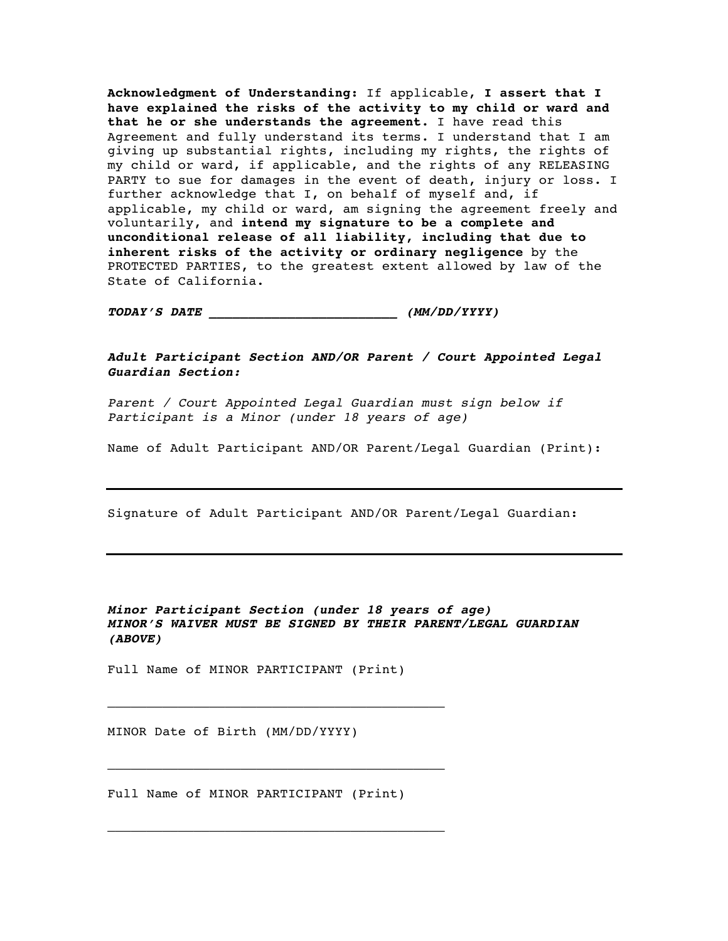**Acknowledgment of Understanding:** If applicable, **I assert that I have explained the risks of the activity to my child or ward and that he or she understands the agreement.** I have read this Agreement and fully understand its terms. I understand that I am giving up substantial rights, including my rights, the rights of my child or ward, if applicable, and the rights of any RELEASING PARTY to sue for damages in the event of death, injury or loss. I further acknowledge that I, on behalf of myself and, if applicable, my child or ward, am signing the agreement freely and voluntarily, and **intend my signature to be a complete and unconditional release of all liability, including that due to inherent risks of the activity or ordinary negligence** by the PROTECTED PARTIES, to the greatest extent allowed by law of the State of California.

*TODAY'S DATE \_\_\_\_\_\_\_\_\_\_\_\_\_\_\_\_\_\_\_\_\_\_\_\_ (MM/DD/YYYY)*

*Adult Participant Section AND/OR Parent / Court Appointed Legal Guardian Section:* 

*Parent / Court Appointed Legal Guardian must sign below if Participant is a Minor (under 18 years of age)* 

Name of Adult Participant AND/OR Parent/Legal Guardian (Print):

Signature of Adult Participant AND/OR Parent/Legal Guardian:

# *Minor Participant Section (under 18 years of age) MINOR'S WAIVER MUST BE SIGNED BY THEIR PARENT/LEGAL GUARDIAN (ABOVE)*

Full Name of MINOR PARTICIPANT (Print)

\_\_\_\_\_\_\_\_\_\_\_\_\_\_\_\_\_\_\_\_\_\_\_\_\_\_\_\_\_\_\_\_\_\_\_\_\_\_\_\_\_\_\_

\_\_\_\_\_\_\_\_\_\_\_\_\_\_\_\_\_\_\_\_\_\_\_\_\_\_\_\_\_\_\_\_\_\_\_\_\_\_\_\_\_\_\_

\_\_\_\_\_\_\_\_\_\_\_\_\_\_\_\_\_\_\_\_\_\_\_\_\_\_\_\_\_\_\_\_\_\_\_\_\_\_\_\_\_\_\_

MINOR Date of Birth (MM/DD/YYYY)

Full Name of MINOR PARTICIPANT (Print)